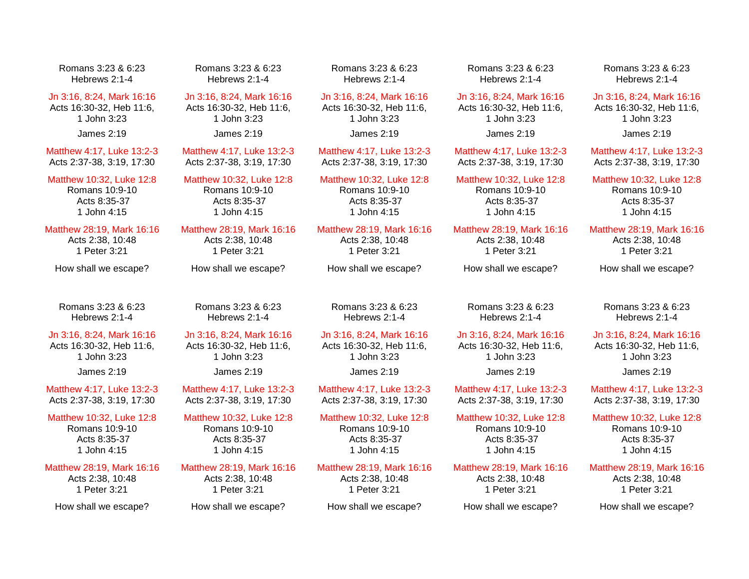Romans 3:23 & 6:23 Hebrews 2:1-4

Jn 3:16, 8:24, Mark 16:16 Acts 16:30-32, Heb 11:6, 1 John 3:23

James 2:19

Matthew 4:17, Luke 13:2-3 Acts 2:37-38, 3:19, 17:30

Matthew 10:32, Luke 12:8 Romans 10:9-10 Acts 8:35-37 1 John 4:15

Matthew 28:19, Mark 16:16 Acts 2:38, 10:48 1 Peter 3:21

How shall we escape?

Romans 3:23 & 6:23 Hebrews 2:1-4

Jn 3:16, 8:24, Mark 16:16

Acts 16:30-32, Heb 11:6, 1 John 3:23 James 2:19

Matthew 4:17, Luke 13:2-3 Acts 2:37-38, 3:19, 17:30

Matthew 10:32, Luke 12:8 Romans 10:9-10 Acts 8:35-37 1 John 4:15

Matthew 28:19, Mark 16:16 Acts 2:38, 10:48 1 Peter 3:21

How shall we escape?

Romans 3:23 & 6:23 Hebrews 2:1-4

Jn 3:16, 8:24, Mark 16:16 Acts 16:30-32, Heb 11:6, 1 John 3:23 James 2:19

Matthew 4:17, Luke 13:2-3 Acts 2:37-38, 3:19, 17:30

Matthew 10:32, Luke 12:8 Romans 10:9-10 Acts 8:35-37 1 John 4:15

Matthew 28:19, Mark 16:16 Acts 2:38, 10:48 1 Peter 3:21

How shall we escape?

Romans 3:23 & 6:23 Hebrews 2:1-4

Jn 3:16, 8:24, Mark 16:16 Acts 16:30-32, Heb 11:6, 1 John 3:23 James 2:19

Matthew 4:17, Luke 13:2-3 Acts 2:37-38, 3:19, 17:30

Matthew 10:32, Luke 12:8 Romans 10:9-10 Acts 8:35-37 1 John 4:15

Matthew 28:19, Mark 16:16 Acts 2:38, 10:48 1 Peter 3:21

How shall we escape?

Romans 3:23 & 6:23 Hebrews 2:1-4

Jn 3:16, 8:24, Mark 16:16 Acts 16:30-32, Heb 11:6, 1 John 3:23

James 2:19

Matthew 4:17, Luke 13:2-3 Acts 2:37-38, 3:19, 17:30

Matthew 10:32, Luke 12:8 Romans 10:9-10 Acts 8:35-37 1 John 4:15

Matthew 28:19, Mark 16:16 Acts 2:38, 10:48 1 Peter 3:21

How shall we escape?

Romans 3:23 & 6:23 Hebrews 2:1-4

Jn 3:16, 8:24, Mark 16:16 Acts 16:30-32, Heb 11:6, 1 John 3:23

James 2:19

Matthew 4:17, Luke 13:2-3 Acts 2:37-38, 3:19, 17:30

Matthew 10:32, Luke 12:8 Romans 10:9-10 Acts 8:35-37 1 John 4:15

Matthew 28:19, Mark 16:16 Acts 2:38, 10:48 1 Peter 3:21

How shall we escape?

Romans 3:23 & 6:23 Hebrews 2:1-4

Jn 3:16, 8:24, Mark 16:16 Acts 16:30-32, Heb 11:6, 1 John 3:23 James 2:19

Matthew 4:17, Luke 13:2-3 Acts 2:37-38, 3:19, 17:30

Matthew 10:32, Luke 12:8 Romans 10:9-10 Acts 8:35-37 1 John 4:15

Matthew 28:19, Mark 16:16 Acts 2:38, 10:48 1 Peter 3:21

How shall we escape?

Romans 3:23 & 6:23 Hebrews 2:1-4

## Jn 3:16, 8:24, Mark 16:16 Acts 16:30-32, Heb 11:6, 1 John 3:23

James 2:19

Matthew 4:17, Luke 13:2-3 Acts 2:37-38, 3:19, 17:30

Matthew 10:32, Luke 12:8 Romans 10:9-10 Acts 8:35-37 1 John 4:15

Matthew 28:19, Mark 16:16 Acts 2:38, 10:48 1 Peter 3:21

How shall we escape?

Romans 3:23 & 6:23 Hebrews 2:1-4

Jn 3:16, 8:24, Mark 16:16 Acts 16:30-32, Heb 11:6, 1 John 3:23

James 2:19

Matthew 4:17, Luke 13:2-3 Acts 2:37-38, 3:19, 17:30

Matthew 10:32, Luke 12:8 Romans 10:9-10 Acts 8:35-37 1 John 4:15

Matthew 28:19, Mark 16:16 Acts 2:38, 10:48 1 Peter 3:21

How shall we escape?

Romans 3:23 & 6:23 Hebrews 2:1-4

## Jn 3:16, 8:24, Mark 16:16

Acts 16:30-32, Heb 11:6, 1 John 3:23 James 2:19

Matthew 4:17, Luke 13:2-3 Acts 2:37-38, 3:19, 17:30

Matthew 10:32, Luke 12:8 Romans 10:9-10 Acts 8:35-37 1 John 4:15

Matthew 28:19, Mark 16:16 Acts 2:38, 10:48 1 Peter 3:21

How shall we escape?